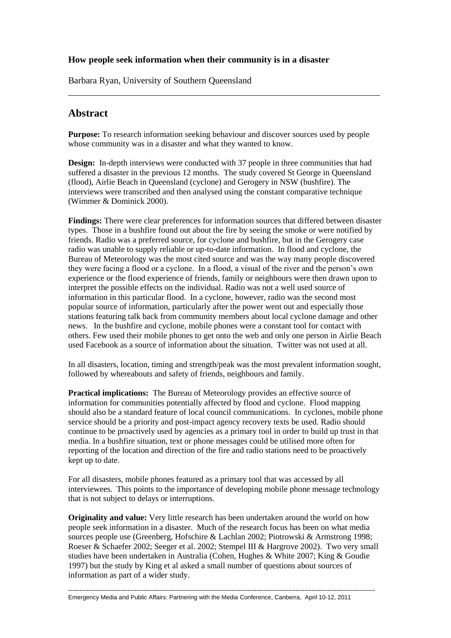### **How people seek information when their community is in a disaster**

Barbara Ryan, University of Southern Queensland

# **Abstract**

**Purpose:** To research information seeking behaviour and discover sources used by people whose community was in a disaster and what they wanted to know.

**Design:** In-depth interviews were conducted with 37 people in three communities that had suffered a disaster in the previous 12 months. The study covered St George in Queensland (flood), Airlie Beach in Queensland (cyclone) and Gerogery in NSW (bushfire). The interviews were transcribed and then analysed using the constant comparative technique (Wimmer & Dominick 2000).

**Findings:** There were clear preferences for information sources that differed between disaster types. Those in a bushfire found out about the fire by seeing the smoke or were notified by friends. Radio was a preferred source, for cyclone and bushfire, but in the Gerogery case radio was unable to supply reliable or up-to-date information. In flood and cyclone, the Bureau of Meteorology was the most cited source and was the way many people discovered they were facing a flood or a cyclone. In a flood, a visual of the river and the person's own experience or the flood experience of friends, family or neighbours were then drawn upon to interpret the possible effects on the individual. Radio was not a well used source of information in this particular flood. In a cyclone, however, radio was the second most popular source of information, particularly after the power went out and especially those stations featuring talk back from community members about local cyclone damage and other news. In the bushfire and cyclone, mobile phones were a constant tool for contact with others. Few used their mobile phones to get onto the web and only one person in Airlie Beach used Facebook as a source of information about the situation. Twitter was not used at all.

In all disasters, location, timing and strength/peak was the most prevalent information sought, followed by whereabouts and safety of friends, neighbours and family.

**Practical implications:** The Bureau of Meteorology provides an effective source of information for communities potentially affected by flood and cyclone. Flood mapping should also be a standard feature of local council communications. In cyclones, mobile phone service should be a priority and post-impact agency recovery texts be used. Radio should continue to be proactively used by agencies as a primary tool in order to build up trust in that media. In a bushfire situation, text or phone messages could be utilised more often for reporting of the location and direction of the fire and radio stations need to be proactively kept up to date.

For all disasters, mobile phones featured as a primary tool that was accessed by all interviewees. This points to the importance of developing mobile phone message technology that is not subject to delays or interruptions.

**Originality and value:** Very little research has been undertaken around the world on how people seek information in a disaster. Much of the research focus has been on what media sources people use (Greenberg, Hofschire & Lachlan 2002; Piotrowski & Armstrong 1998; Roeser & Schaefer 2002; Seeger et al. 2002; Stempel III & Hargrove 2002). Two very small studies have been undertaken in Australia (Cohen, Hughes & White 2007; King & Goudie 1997) but the study by King et al asked a small number of questions about sources of information as part of a wider study.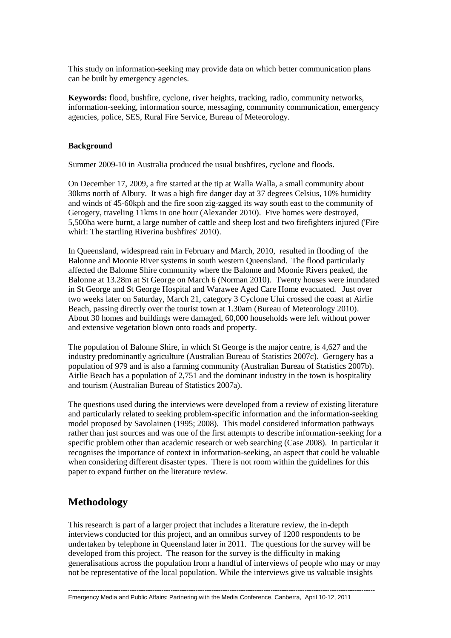This study on information-seeking may provide data on which better communication plans can be built by emergency agencies.

**Keywords:** flood, bushfire, cyclone, river heights, tracking, radio, community networks, information-seeking, information source, messaging, community communication, emergency agencies, police, SES, Rural Fire Service, Bureau of Meteorology.

### **Background**

Summer 2009-10 in Australia produced the usual bushfires, cyclone and floods.

On December 17, 2009, a fire started at the tip at Walla Walla, a small community about 30kms north of Albury. It was a high fire danger day at 37 degrees Celsius, 10% humidity and winds of 45-60kph and the fire soon zig-zagged its way south east to the community of Gerogery, traveling 11kms in one hour (Alexander 2010). Five homes were destroyed, 5,500ha were burnt, a large number of cattle and sheep lost and two firefighters injured ('Fire whirl: The startling Riverina bushfires' 2010).

In Queensland, widespread rain in February and March, 2010, resulted in flooding of the Balonne and Moonie River systems in south western Queensland. The flood particularly affected the Balonne Shire community where the Balonne and Moonie Rivers peaked, the Balonne at 13.28m at St George on March 6 (Norman 2010). Twenty houses were inundated in St George and St George Hospital and Warawee Aged Care Home evacuated. Just over two weeks later on Saturday, March 21, category 3 Cyclone Ului crossed the coast at Airlie Beach, passing directly over the tourist town at 1.30am (Bureau of Meteorology 2010). About 30 homes and buildings were damaged, 60,000 households were left without power and extensive vegetation blown onto roads and property.

The population of Balonne Shire, in which St George is the major centre, is 4,627 and the industry predominantly agriculture (Australian Bureau of Statistics 2007c). Gerogery has a population of 979 and is also a farming community (Australian Bureau of Statistics 2007b). Airlie Beach has a population of 2,751 and the dominant industry in the town is hospitality and tourism (Australian Bureau of Statistics 2007a).

The questions used during the interviews were developed from a review of existing literature and particularly related to seeking problem-specific information and the information-seeking model proposed by Savolainen (1995; 2008). This model considered information pathways rather than just sources and was one of the first attempts to describe information-seeking for a specific problem other than academic research or web searching (Case 2008). In particular it recognises the importance of context in information-seeking, an aspect that could be valuable when considering different disaster types. There is not room within the guidelines for this paper to expand further on the literature review.

# **Methodology**

This research is part of a larger project that includes a literature review, the in-depth interviews conducted for this project, and an omnibus survey of 1200 respondents to be undertaken by telephone in Queensland later in 2011. The questions for the survey will be developed from this project. The reason for the survey is the difficulty in making generalisations across the population from a handful of interviews of people who may or may not be representative of the local population. While the interviews give us valuable insights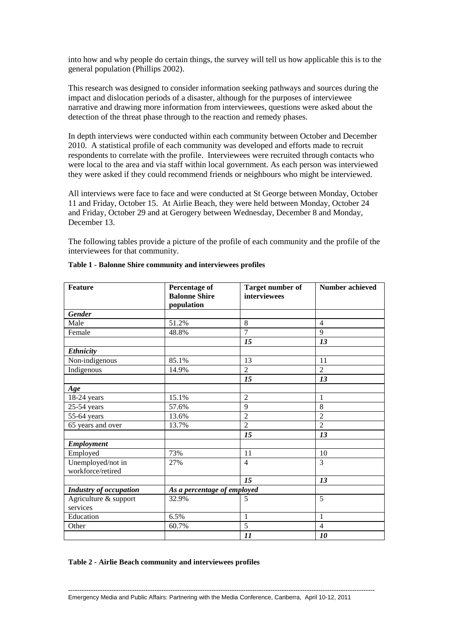into how and why people do certain things, the survey will tell us how applicable this is to the general population (Phillips 2002).

This research was designed to consider information seeking pathways and sources during the impact and dislocation periods of a disaster, although for the purposes of interviewee narrative and drawing more information from interviewees, questions were asked about the detection of the threat phase through to the reaction and remedy phases.

In depth interviews were conducted within each community between October and December 2010. A statistical profile of each community was developed and efforts made to recruit respondents to correlate with the profile. Interviewees were recruited through contacts who were local to the area and via staff within local government. As each person was interviewed they were asked if they could recommend friends or neighbours who might be interviewed.

All interviews were face to face and were conducted at St George between Monday, October 11 and Friday, October 15. At Airlie Beach, they were held between Monday, October 24 and Friday, October 29 and at Gerogery between Wednesday, December 8 and Monday, December 13.

The following tables provide a picture of the profile of each community and the profile of the interviewees for that community.

| <b>Feature</b>                | <b>Percentage of</b>        | <b>Target number of</b> | Number achieved |
|-------------------------------|-----------------------------|-------------------------|-----------------|
|                               | <b>Balonne Shire</b>        | interviewees            |                 |
|                               | population                  |                         |                 |
| <b>Gender</b>                 |                             |                         |                 |
| Male                          | 51.2%                       | 8                       | $\overline{4}$  |
| Female                        | 48.8%                       | $\overline{7}$          | 9               |
|                               |                             | 15                      | 13              |
| <b>Ethnicity</b>              |                             |                         |                 |
| Non-indigenous                | 85.1%                       | 13                      | 11              |
| Indigenous                    | 14.9%                       | $\overline{2}$          | $\overline{2}$  |
|                               |                             | 15                      | 13              |
| Age                           |                             |                         |                 |
| $18-24$ years                 | 15.1%                       | $\overline{2}$          | $\mathbf{1}$    |
| $25-54$ years                 | 57.6%                       | 9                       | 8               |
| 55-64 years                   | 13.6%                       | $\overline{2}$          | $\overline{2}$  |
| 65 years and over             | 13.7%                       | $\overline{2}$          | $\overline{2}$  |
|                               |                             | 15                      | 13              |
| <b>Employment</b>             |                             |                         |                 |
| Employed                      | 73%                         | 11                      | 10              |
| Unemployed/not in             | 27%                         | $\overline{4}$          | $\overline{3}$  |
| workforce/retired             |                             |                         |                 |
|                               |                             | 15                      | 13              |
| <b>Industry of occupation</b> | As a percentage of employed |                         |                 |
| Agriculture & support         | 32.9%                       | 5                       | 5               |
| services                      |                             |                         |                 |
| Education                     | 6.5%                        | $\mathbf{1}$            | $\mathbf{1}$    |
| Other                         | 60.7%                       | $\overline{5}$          | $\overline{4}$  |
|                               |                             | 11                      | 10              |

#### **Table 1 - Balonne Shire community and interviewees profiles**

#### **Table 2 - Airlie Beach community and interviewees profiles**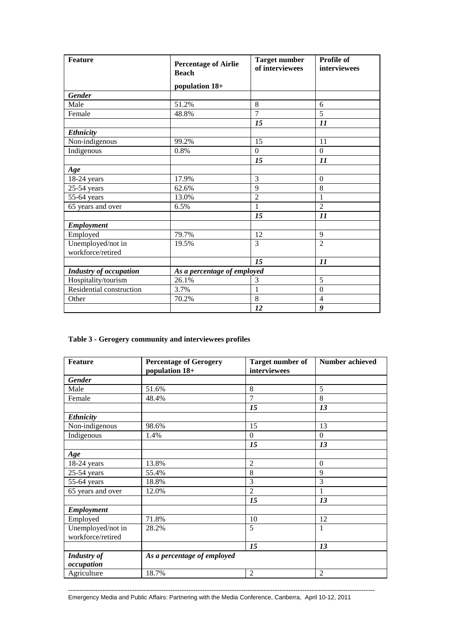| <b>Feature</b>                | <b>Percentage of Airlie</b><br><b>Beach</b> | <b>Target number</b><br>of interviewees | Profile of<br>interviewees |
|-------------------------------|---------------------------------------------|-----------------------------------------|----------------------------|
|                               | population 18+                              |                                         |                            |
| <b>Gender</b>                 |                                             |                                         |                            |
| Male                          | 51.2%                                       | 8                                       | 6                          |
| Female                        | 48.8%                                       | $\overline{7}$                          | $\overline{5}$             |
|                               |                                             | 15                                      | $\boldsymbol{\mathit{11}}$ |
| <b>Ethnicity</b>              |                                             |                                         |                            |
| Non-indigenous                | 99.2%                                       | 15                                      | 11                         |
| Indigenous                    | 0.8%                                        | $\mathbf{0}$                            | $\overline{0}$             |
|                               |                                             | 15                                      | 11                         |
| Age                           |                                             |                                         |                            |
| 18-24 years                   | 17.9%                                       | 3                                       | $\theta$                   |
| $25-54$ years                 | 62.6%                                       | 9                                       | 8                          |
| 55-64 years                   | 13.0%                                       | $\overline{2}$                          | 1                          |
| 65 years and over             | 6.5%                                        | 1                                       | $\overline{2}$             |
|                               |                                             | 15                                      | 11                         |
| <b>Employment</b>             |                                             |                                         |                            |
| Employed                      | 79.7%                                       | 12                                      | 9                          |
| Unemployed/not in             | 19.5%                                       | 3                                       | $\overline{2}$             |
| workforce/retired             |                                             |                                         |                            |
|                               |                                             | 15                                      | $\boldsymbol{\mathit{11}}$ |
| <b>Industry of occupation</b> | As a percentage of employed                 |                                         |                            |
| Hospitality/tourism           | 26.1%                                       | 3                                       | 5                          |
| Residential construction      | 3.7%                                        | 1                                       | $\mathbf{0}$               |
| Other                         | 70.2%                                       | 8                                       | $\overline{4}$             |
|                               |                                             | 12                                      | 9                          |

# **Table 3 - Gerogery community and interviewees profiles**

| <b>Feature</b>                         | <b>Percentage of Gerogery</b><br>population 18+ | <b>Target number of</b><br>interviewees | <b>Number achieved</b> |  |
|----------------------------------------|-------------------------------------------------|-----------------------------------------|------------------------|--|
| <b>Gender</b>                          |                                                 |                                         |                        |  |
| Male                                   | 51.6%                                           | 8                                       | 5                      |  |
| Female                                 | 48.4%                                           | 7                                       | 8                      |  |
|                                        |                                                 | 15                                      | 13                     |  |
| Ethnicity                              |                                                 |                                         |                        |  |
| Non-indigenous                         | 98.6%                                           | 15                                      | 13                     |  |
| Indigenous                             | 1.4%                                            | $\Omega$                                | $\Omega$               |  |
|                                        |                                                 | 15                                      | 13                     |  |
| Age                                    |                                                 |                                         |                        |  |
| 18-24 years                            | 13.8%                                           | $\overline{2}$                          | $\mathbf{0}$           |  |
| 25-54 years                            | 55.4%                                           | 8                                       | 9                      |  |
| 55-64 years                            | 18.8%                                           | 3                                       | 3                      |  |
| 65 years and over                      | 12.0%                                           | $\overline{2}$                          | 1                      |  |
|                                        |                                                 | 15                                      | 13                     |  |
| <b>Employment</b>                      |                                                 |                                         |                        |  |
| Employed                               | 71.8%                                           | 10                                      | 12                     |  |
| Unemployed/not in<br>workforce/retired | 28.2%                                           | 5                                       | 1                      |  |
|                                        |                                                 | 15                                      | 13                     |  |
| <b>Industry of</b><br>occupation       | As a percentage of employed                     |                                         |                        |  |
| Agriculture                            | 18.7%                                           | $\overline{2}$                          | $\overline{2}$         |  |

Emergency Media and Public Affairs: Partnering with the Media Conference, Canberra, April 10-12, 2011

---------------------------------------------------------------------------------------------------------------------------------------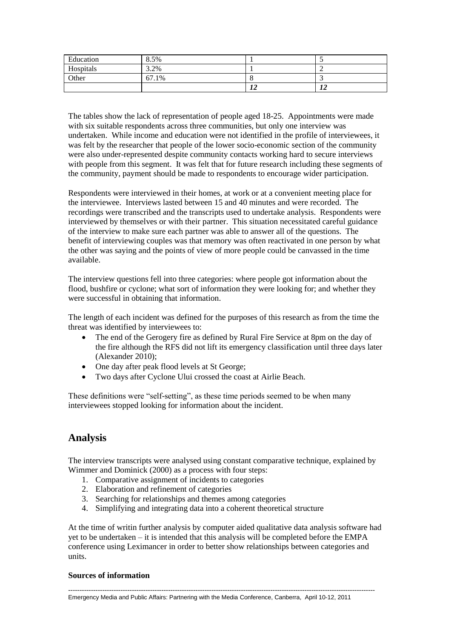| Education | 8.5%  |  |
|-----------|-------|--|
| Hospitals | 3.2%  |  |
| Other     | 67.1% |  |
|           |       |  |

The tables show the lack of representation of people aged 18-25. Appointments were made with six suitable respondents across three communities, but only one interview was undertaken. While income and education were not identified in the profile of interviewees, it was felt by the researcher that people of the lower socio-economic section of the community were also under-represented despite community contacts working hard to secure interviews with people from this segment. It was felt that for future research including these segments of the community, payment should be made to respondents to encourage wider participation.

Respondents were interviewed in their homes, at work or at a convenient meeting place for the interviewee. Interviews lasted between 15 and 40 minutes and were recorded. The recordings were transcribed and the transcripts used to undertake analysis. Respondents were interviewed by themselves or with their partner. This situation necessitated careful guidance of the interview to make sure each partner was able to answer all of the questions. The benefit of interviewing couples was that memory was often reactivated in one person by what the other was saying and the points of view of more people could be canvassed in the time available.

The interview questions fell into three categories: where people got information about the flood, bushfire or cyclone; what sort of information they were looking for; and whether they were successful in obtaining that information.

The length of each incident was defined for the purposes of this research as from the time the threat was identified by interviewees to:

- The end of the Gerogery fire as defined by Rural Fire Service at 8pm on the day of the fire although the RFS did not lift its emergency classification until three days later (Alexander 2010);
- One day after peak flood levels at St George;
- Two days after Cyclone Ului crossed the coast at Airlie Beach.

These definitions were "self-setting", as these time periods seemed to be when many interviewees stopped looking for information about the incident.

# **Analysis**

The interview transcripts were analysed using constant comparative technique, explained by Wimmer and Dominick (2000) as a process with four steps:

- 1. Comparative assignment of incidents to categories
- 2. Elaboration and refinement of categories
- 3. Searching for relationships and themes among categories
- 4. Simplifying and integrating data into a coherent theoretical structure

At the time of writin further analysis by computer aided qualitative data analysis software had yet to be undertaken – it is intended that this analysis will be completed before the EMPA conference using Leximancer in order to better show relationships between categories and units.

### **Sources of information**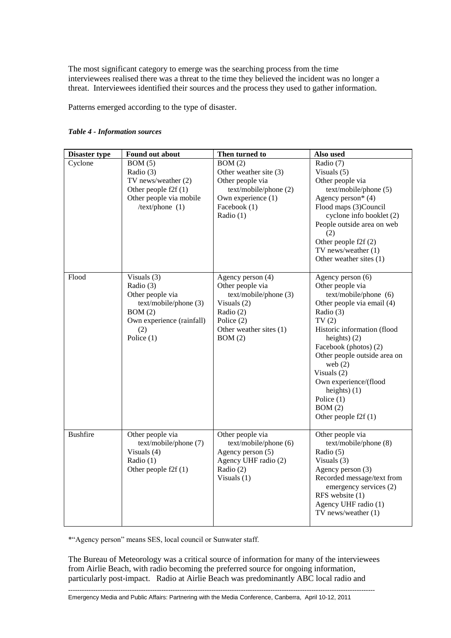The most significant category to emerge was the searching process from the time interviewees realised there was a threat to the time they believed the incident was no longer a threat. Interviewees identified their sources and the process they used to gather information.

Patterns emerged according to the type of disaster.

| <b>Disaster type</b> | Found out about                                                                                                                   | Then turned to                                                                                                                                  | Also used                                                                                                                                                                                                                                                                                                                                           |
|----------------------|-----------------------------------------------------------------------------------------------------------------------------------|-------------------------------------------------------------------------------------------------------------------------------------------------|-----------------------------------------------------------------------------------------------------------------------------------------------------------------------------------------------------------------------------------------------------------------------------------------------------------------------------------------------------|
| Cyclone              | BOM(5)<br>Radio (3)<br>TV news/weather (2)<br>Other people $f2f(1)$<br>Other people via mobile<br>/text/phone $(1)$               | BOM(2)<br>Other weather site (3)<br>Other people via<br>text/mobile/phone (2)<br>Own experience (1)<br>Facebook (1)<br>Radio (1)                | Radio (7)<br>Visuals $(5)$<br>Other people via<br>text/mobile/phone (5)<br>Agency person* $(4)$<br>Flood maps (3)Council<br>cyclone info booklet (2)<br>People outside area on web<br>(2)<br>Other people f2f (2)<br>TV news/weather (1)<br>Other weather sites (1)                                                                                 |
| Flood                | Visuals (3)<br>Radio (3)<br>Other people via<br>text/mobile/phone (3)<br>BOM(2)<br>Own experience (rainfall)<br>(2)<br>Police (1) | Agency person (4)<br>Other people via<br>text/mobile/phone (3)<br>Visuals $(2)$<br>Radio (2)<br>Police (2)<br>Other weather sites (1)<br>BOM(2) | Agency person (6)<br>Other people via<br>text/mobile/phone (6)<br>Other people via email (4)<br>Radio (3)<br>TV(2)<br>Historic information (flood<br>heights) $(2)$<br>Facebook (photos) (2)<br>Other people outside area on<br>web $(2)$<br>Visuals (2)<br>Own experience/(flood<br>heights) $(1)$<br>Police (1)<br>BOM(2)<br>Other people f2f (1) |
| <b>Bushfire</b>      | Other people via<br>text/mobile/phone (7)<br>Visuals (4)<br>Radio $(1)$<br>Other people $f2f(1)$                                  | Other people via<br>text/mobile/phone (6)<br>Agency person (5)<br>Agency UHF radio (2)<br>Radio (2)<br>Visuals $(1)$                            | Other people via<br>text/mobile/phone (8)<br>Radio (5)<br>Visuals $(3)$<br>Agency person (3)<br>Recorded message/text from<br>emergency services (2)<br>RFS website (1)<br>Agency UHF radio (1)<br>TV news/weather $(1)$                                                                                                                            |

#### *Table 4 - Information sources*

\*"Agency person" means SES, local council or Sunwater staff.

The Bureau of Meteorology was a critical source of information for many of the interviewees from Airlie Beach, with radio becoming the preferred source for ongoing information, particularly post-impact. Radio at Airlie Beach was predominantly ABC local radio and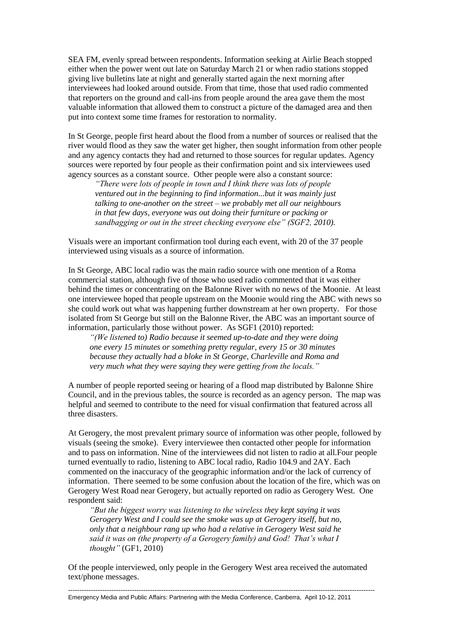SEA FM, evenly spread between respondents. Information seeking at Airlie Beach stopped either when the power went out late on Saturday March 21 or when radio stations stopped giving live bulletins late at night and generally started again the next morning after interviewees had looked around outside. From that time, those that used radio commented that reporters on the ground and call-ins from people around the area gave them the most valuable information that allowed them to construct a picture of the damaged area and then put into context some time frames for restoration to normality.

In St George, people first heard about the flood from a number of sources or realised that the river would flood as they saw the water get higher, then sought information from other people and any agency contacts they had and returned to those sources for regular updates. Agency sources were reported by four people as their confirmation point and six interviewees used agency sources as a constant source. Other people were also a constant source:

*"There were lots of people in town and I think there was lots of people ventured out in the beginning to find information...but it was mainly just talking to one-another on the street – we probably met all our neighbours in that few days, everyone was out doing their furniture or packing or sandbagging or out in the street checking everyone else" (SGF2, 2010).*

Visuals were an important confirmation tool during each event, with 20 of the 37 people interviewed using visuals as a source of information.

In St George, ABC local radio was the main radio source with one mention of a Roma commercial station, although five of those who used radio commented that it was either behind the times or concentrating on the Balonne River with no news of the Moonie. At least one interviewee hoped that people upstream on the Moonie would ring the ABC with news so she could work out what was happening further downstream at her own property. For those isolated from St George but still on the Balonne River, the ABC was an important source of information, particularly those without power. As SGF1 (2010) reported:

*"(We listened to) Radio because it seemed up-to-date and they were doing one every 15 minutes or something pretty regular, every 15 or 30 minutes because they actually had a bloke in St George, Charleville and Roma and very much what they were saying they were getting from the locals."*

A number of people reported seeing or hearing of a flood map distributed by Balonne Shire Council, and in the previous tables, the source is recorded as an agency person. The map was helpful and seemed to contribute to the need for visual confirmation that featured across all three disasters.

At Gerogery, the most prevalent primary source of information was other people, followed by visuals (seeing the smoke). Every interviewee then contacted other people for information and to pass on information. Nine of the interviewees did not listen to radio at all.Four people turned eventually to radio, listening to ABC local radio, Radio 104.9 and 2AY. Each commented on the inaccuracy of the geographic information and/or the lack of currency of information. There seemed to be some confusion about the location of the fire, which was on Gerogery West Road near Gerogery, but actually reported on radio as Gerogery West. One respondent said:

*"But the biggest worry was listening to the wireless they kept saying it was Gerogery West and I could see the smoke was up at Gerogery itself, but no, only that a neighbour rang up who had a relative in Gerogery West said he said it was on (the property of a Gerogery family) and God! That's what I thought"* (GF1, 2010)

Of the people interviewed, only people in the Gerogery West area received the automated text/phone messages.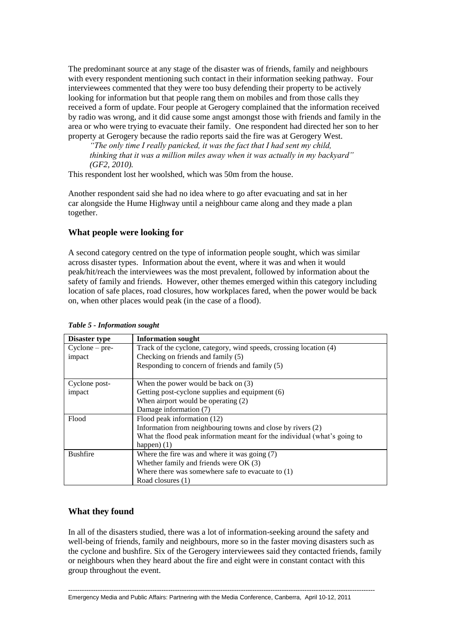The predominant source at any stage of the disaster was of friends, family and neighbours with every respondent mentioning such contact in their information seeking pathway. Four interviewees commented that they were too busy defending their property to be actively looking for information but that people rang them on mobiles and from those calls they received a form of update. Four people at Gerogery complained that the information received by radio was wrong, and it did cause some angst amongst those with friends and family in the area or who were trying to evacuate their family. One respondent had directed her son to her property at Gerogery because the radio reports said the fire was at Gerogery West.

*"The only time I really panicked, it was the fact that I had sent my child, thinking that it was a million miles away when it was actually in my backyard" (GF2, 2010).*

This respondent lost her woolshed, which was 50m from the house.

Another respondent said she had no idea where to go after evacuating and sat in her car alongside the Hume Highway until a neighbour came along and they made a plan together.

### **What people were looking for**

A second category centred on the type of information people sought, which was similar across disaster types. Information about the event, where it was and when it would peak/hit/reach the interviewees was the most prevalent, followed by information about the safety of family and friends. However, other themes emerged within this category including location of safe places, road closures, how workplaces fared, when the power would be back on, when other places would peak (in the case of a flood).

| <b>Disaster type</b> | <b>Information sought</b>                                                 |  |  |
|----------------------|---------------------------------------------------------------------------|--|--|
| $C$ yclone – pre-    | Track of the cyclone, category, wind speeds, crossing location (4)        |  |  |
| impact               | Checking on friends and family (5)                                        |  |  |
|                      | Responding to concern of friends and family (5)                           |  |  |
| Cyclone post-        | When the power would be back on $(3)$                                     |  |  |
| impact               | Getting post-cyclone supplies and equipment (6)                           |  |  |
|                      | When airport would be operating (2)                                       |  |  |
|                      | Damage information (7)                                                    |  |  |
| Flood                | Flood peak information (12)                                               |  |  |
|                      | Information from neighbouring towns and close by rivers (2)               |  |  |
|                      | What the flood peak information meant for the individual (what's going to |  |  |
|                      | happen $(1)$                                                              |  |  |
| <b>Bushfire</b>      | Where the fire was and where it was going $(7)$                           |  |  |
|                      | Whether family and friends were $OK(3)$                                   |  |  |
|                      | Where there was somewhere safe to evacuate to $(1)$                       |  |  |
|                      | Road closures (1)                                                         |  |  |

|  |  |  |  | Table 5 - Information sought |  |
|--|--|--|--|------------------------------|--|
|--|--|--|--|------------------------------|--|

### **What they found**

In all of the disasters studied, there was a lot of information-seeking around the safety and well-being of friends, family and neighbours, more so in the faster moving disasters such as the cyclone and bushfire. Six of the Gerogery interviewees said they contacted friends, family or neighbours when they heard about the fire and eight were in constant contact with this group throughout the event.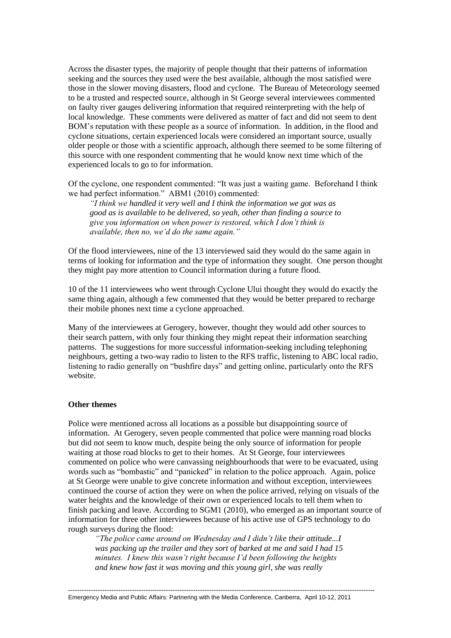Across the disaster types, the majority of people thought that their patterns of information seeking and the sources they used were the best available, although the most satisfied were those in the slower moving disasters, flood and cyclone. The Bureau of Meteorology seemed to be a trusted and respected source, although in St George several interviewees commented on faulty river gauges delivering information that required reinterpreting with the help of local knowledge. These comments were delivered as matter of fact and did not seem to dent BOM's reputation with these people as a source of information. In addition, in the flood and cyclone situations, certain experienced locals were considered an important source, usually older people or those with a scientific approach, although there seemed to be some filtering of this source with one respondent commenting that he would know next time which of the experienced locals to go to for information.

Of the cyclone, one respondent commented: "It was just a waiting game. Beforehand I think we had perfect information." ABM1 (2010) commented:

*"I think we handled it very well and I think the information we got was as good as is available to be delivered, so yeah, other than finding a source to give you information on when power is restored, which I don't think is available, then no, we'd do the same again."*

Of the flood interviewees, nine of the 13 interviewed said they would do the same again in terms of looking for information and the type of information they sought. One person thought they might pay more attention to Council information during a future flood.

10 of the 11 interviewees who went through Cyclone Ului thought they would do exactly the same thing again, although a few commented that they would be better prepared to recharge their mobile phones next time a cyclone approached.

Many of the interviewees at Gerogery, however, thought they would add other sources to their search pattern, with only four thinking they might repeat their information searching patterns. The suggestions for more successful information-seeking including telephoning neighbours, getting a two-way radio to listen to the RFS traffic, listening to ABC local radio, listening to radio generally on "bushfire days" and getting online, particularly onto the RFS website.

#### **Other themes**

Police were mentioned across all locations as a possible but disappointing source of information. At Gerogery, seven people commented that police were manning road blocks but did not seem to know much, despite being the only source of information for people waiting at those road blocks to get to their homes. At St George, four interviewees commented on police who were canvassing neighbourhoods that were to be evacuated, using words such as "bombastic" and "panicked" in relation to the police approach. Again, police at St George were unable to give concrete information and without exception, interviewees continued the course of action they were on when the police arrived, relying on visuals of the water heights and the knowledge of their own or experienced locals to tell them when to finish packing and leave. According to SGM1 (2010), who emerged as an important source of information for three other interviewees because of his active use of GPS technology to do rough surveys during the flood:

*"The police came around on Wednesday and I didn't like their attitude...I was packing up the trailer and they sort of barked at me and said I had 15 minutes. I knew this wasn't right because I'd been following the heights and knew how fast it was moving and this young girl, she was really*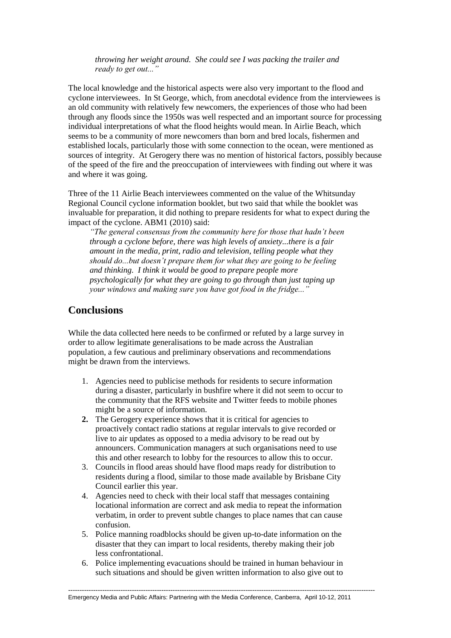*throwing her weight around. She could see I was packing the trailer and ready to get out..."*

The local knowledge and the historical aspects were also very important to the flood and cyclone interviewees. In St George, which, from anecdotal evidence from the interviewees is an old community with relatively few newcomers, the experiences of those who had been through any floods since the 1950s was well respected and an important source for processing individual interpretations of what the flood heights would mean. In Airlie Beach, which seems to be a community of more newcomers than born and bred locals, fishermen and established locals, particularly those with some connection to the ocean, were mentioned as sources of integrity. At Gerogery there was no mention of historical factors, possibly because of the speed of the fire and the preoccupation of interviewees with finding out where it was and where it was going.

Three of the 11 Airlie Beach interviewees commented on the value of the Whitsunday Regional Council cyclone information booklet, but two said that while the booklet was invaluable for preparation, it did nothing to prepare residents for what to expect during the impact of the cyclone. ABM1 (2010) said:

*"The general consensus from the community here for those that hadn't been through a cyclone before, there was high levels of anxiety...there is a fair amount in the media, print, radio and television, telling people what they should do...but doesn't prepare them for what they are going to be feeling and thinking. I think it would be good to prepare people more psychologically for what they are going to go through than just taping up your windows and making sure you have got food in the fridge..."*

# **Conclusions**

While the data collected here needs to be confirmed or refuted by a large survey in order to allow legitimate generalisations to be made across the Australian population, a few cautious and preliminary observations and recommendations might be drawn from the interviews.

- 1. Agencies need to publicise methods for residents to secure information during a disaster, particularly in bushfire where it did not seem to occur to the community that the RFS website and Twitter feeds to mobile phones might be a source of information.
- **2.** The Gerogery experience shows that it is critical for agencies to proactively contact radio stations at regular intervals to give recorded or live to air updates as opposed to a media advisory to be read out by announcers. Communication managers at such organisations need to use this and other research to lobby for the resources to allow this to occur.
- 3. Councils in flood areas should have flood maps ready for distribution to residents during a flood, similar to those made available by Brisbane City Council earlier this year.
- 4. Agencies need to check with their local staff that messages containing locational information are correct and ask media to repeat the information verbatim, in order to prevent subtle changes to place names that can cause confusion.
- 5. Police manning roadblocks should be given up-to-date information on the disaster that they can impart to local residents, thereby making their job less confrontational.
- 6. Police implementing evacuations should be trained in human behaviour in such situations and should be given written information to also give out to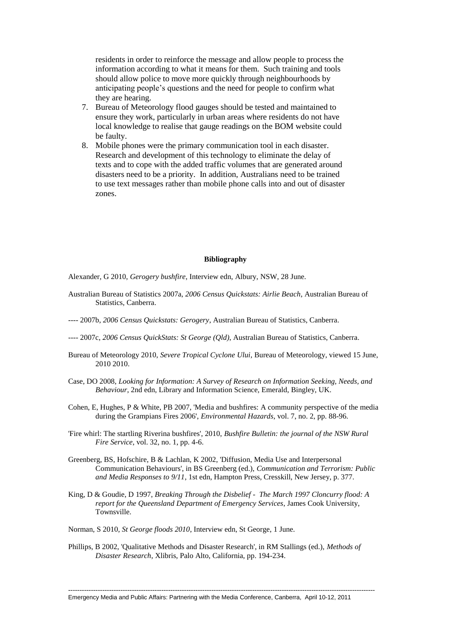residents in order to reinforce the message and allow people to process the information according to what it means for them. Such training and tools should allow police to move more quickly through neighbourhoods by anticipating people's questions and the need for people to confirm what they are hearing.

- 7. Bureau of Meteorology flood gauges should be tested and maintained to ensure they work, particularly in urban areas where residents do not have local knowledge to realise that gauge readings on the BOM website could be faulty.
- 8. Mobile phones were the primary communication tool in each disaster. Research and development of this technology to eliminate the delay of texts and to cope with the added traffic volumes that are generated around disasters need to be a priority. In addition, Australians need to be trained to use text messages rather than mobile phone calls into and out of disaster zones.

#### **Bibliography**

Alexander, G 2010, *Gerogery bushfire*, Interview edn, Albury, NSW, 28 June.

- Australian Bureau of Statistics 2007a, *2006 Census Quickstats: Airlie Beach*, Australian Bureau of Statistics, Canberra.
- ---- 2007b, *2006 Census Quickstats: Gerogery*, Australian Bureau of Statistics, Canberra.
- ---- 2007c, *2006 Census QuickStats: St George (Qld)*, Australian Bureau of Statistics, Canberra.
- Bureau of Meteorology 2010, *Severe Tropical Cyclone Ului*, Bureau of Meteorology, viewed 15 June, 2010 2010.
- Case, DO 2008, *Looking for Information: A Survey of Research on Information Seeking, Needs, and Behaviour*, 2nd edn, Library and Information Science, Emerald, Bingley, UK.
- Cohen, E, Hughes, P & White, PB 2007, 'Media and bushfires: A community perspective of the media during the Grampians Fires 2006', *Environmental Hazards*, vol. 7, no. 2, pp. 88-96.
- 'Fire whirl: The startling Riverina bushfires', 2010, *Bushfire Bulletin: the journal of the NSW Rural Fire Service*, vol. 32, no. 1, pp. 4-6.
- Greenberg, BS, Hofschire, B & Lachlan, K 2002, 'Diffusion, Media Use and Interpersonal Communication Behaviours', in BS Greenberg (ed.), *Communication and Terrorism: Public and Media Responses to 9/11*, 1st edn, Hampton Press, Cresskill, New Jersey, p. 377.
- King, D & Goudie, D 1997, *Breaking Through the Disbelief The March 1997 Cloncurry flood: A report for the Queensland Department of Emergency Services*, James Cook University, Townsville.
- Norman, S 2010, *St George floods 2010*, Interview edn, St George, 1 June.
- Phillips, B 2002, 'Qualitative Methods and Disaster Research', in RM Stallings (ed.), *Methods of Disaster Research*, Xlibris, Palo Alto, California, pp. 194-234.

---------------------------------------------------------------------------------------------------------------------------------------